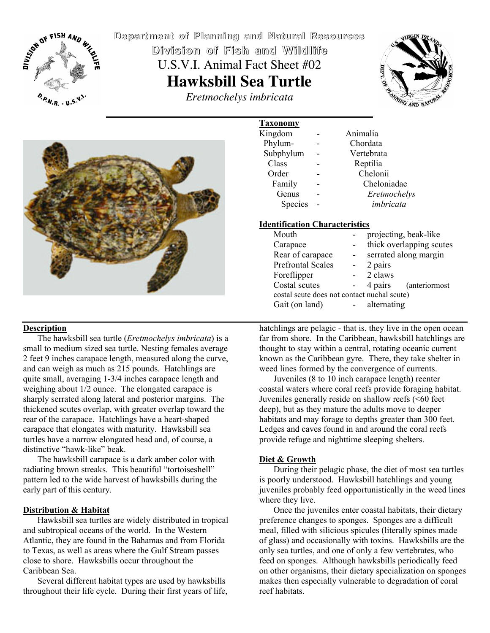

**Department Department of Planning Planning and Natural Natural Resources Resources Division Division of Fish and Wildlife Wildlife** U.S.V.I. Animal Fact Sheet #02 **Hawksbill Sea Turtle** *Eretmochelys imbricata*





### **Description**

The hawksbill sea turtle (*Eretmochelys imbricata*) is a small to medium sized sea turtle. Nesting females average 2 feet 9 inches carapace length, measured along the curve, and can weigh as much as 215 pounds. Hatchlings are quite small, averaging 1-3/4 inches carapace length and weighing about 1/2 ounce. The elongated carapace is sharply serrated along lateral and posterior margins. The thickened scutes overlap, with greater overlap toward the rear of the carapace. Hatchlings have a heart-shaped carapace that elongates with maturity. Hawksbill sea turtles have a narrow elongated head and, of course, a distinctive "hawk-like" beak.

The hawksbill carapace is a dark amber color with radiating brown streaks. This beautiful "tortoiseshell" pattern led to the wide harvest of hawksbills during the early part of this century.

### **Distribution & Habitat**

Hawksbill sea turtles are widely distributed in tropical and subtropical oceans of the world. In the Western Atlantic, they are found in the Bahamas and from Florida to Texas, as well as areas where the Gulf Stream passes close to shore. Hawksbills occur throughout the Caribbean Sea.

Several different habitat types are used by hawksbills throughout their life cycle. During their first years of life,

| <b>Taxonomy</b> |              |
|-----------------|--------------|
| Kingdom         | Animalia     |
| Phylum-         | Chordata     |
| Subphylum       | Vertebrata   |
| Class           | Reptilia     |
| Order           | Chelonii     |
| Family          | Cheloniadae  |
| Genus           | Eretmochelys |
| Species         | imbricata    |
|                 |              |

## **Identification Characteristics**

| $\blacklozenge$ Mouth                       |        | projecting, beak-like    |
|---------------------------------------------|--------|--------------------------|
| $\bullet$ Carapace                          |        | thick overlapping scutes |
| $\blacklozenge$ Rear of carapace            |        | serrated along margin    |
| ◆ Prefrontal Scales                         |        | - 2 pairs                |
| $\bullet$ Foreflipper                       |        | - 2 claws                |
| $\bullet$ Costal scutes                     | $\sim$ | 4 pairs (anteriormost)   |
| costal scute does not contact nuchal scute) |        |                          |
| Gait (on land)                              |        | - alternating            |
|                                             |        |                          |

hatchlings are pelagic - that is, they live in the open ocean far from shore. In the Caribbean, hawksbill hatchlings are thought to stay within a central, rotating oceanic current known as the Caribbean gyre. There, they take shelter in weed lines formed by the convergence of currents.

Juveniles (8 to 10 inch carapace length) reenter coastal waters where coral reefs provide foraging habitat. Juveniles generally reside on shallow reefs (<60 feet deep), but as they mature the adults move to deeper habitats and may forage to depths greater than 300 feet. Ledges and caves found in and around the coral reefs provide refuge and nighttime sleeping shelters.

### **Diet & Growth**

During their pelagic phase, the diet of most sea turtles is poorly understood. Hawksbill hatchlings and young juveniles probably feed opportunistically in the weed lines where they live.

Once the juveniles enter coastal habitats, their dietary preference changes to sponges. Sponges are a difficult meal, filled with silicious spicules (literally spines made of glass) and occasionally with toxins. Hawksbills are the only sea turtles, and one of only a few vertebrates, who feed on sponges. Although hawksbills periodically feed on other organisms, their dietary specialization on sponges makes then especially vulnerable to degradation of coral reef habitats.